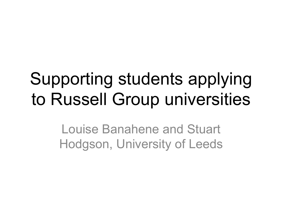# Supporting students applying to Russell Group universities

Louise Banahene and Stuart Hodgson, University of Leeds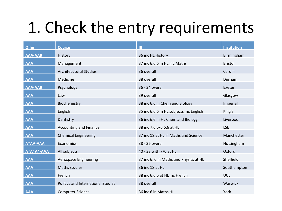#### 1. Check the entry requirements

| <b>Offer</b>     | <b>Course</b>                             | <b>IB</b>                               | <b>Institution</b> |
|------------------|-------------------------------------------|-----------------------------------------|--------------------|
| <b>AAA-AAB</b>   | History                                   | 36 inc HL History                       | Birmingham         |
| <b>AAA</b>       | Management                                | 37 inc 6,6,6 in HL inc Maths            | <b>Bristol</b>     |
| <b>AAA</b>       | <b>Architecutural Studies</b>             | 36 overall                              | Cardiff            |
| <b>AAA</b>       | Medicine                                  | 38 overall                              | Durham             |
| <b>AAA-AAB</b>   | Psychology                                | 36 - 34 overall                         | Exeter             |
| <b>AAA</b>       | Law                                       | 39 overall                              | Glasgow            |
| <b>AAA</b>       | Biochemistry                              | 38 inc 6,6 in Chem and Biology          | Imperial           |
| <b>AAA</b>       | English                                   | 35 inc 6,6,6 in HL subjects inc English | King's             |
| <b>AAA</b>       | Dentistry                                 | 36 inc 6,6 in HL Chem and Biology       | Liverpool          |
| <b>AAA</b>       | <b>Accounting and Finance</b>             | 38 inc 7,6,6/6,6,6 at HL                | <b>LSE</b>         |
| <b>AAA</b>       | <b>Chemical Engineering</b>               | 37 inc 18 at HL in Maths and Science    | Manchester         |
| A*AA-AAA         | Economics                                 | 38 - 36 overall                         | Nottingham         |
| $A^*A^*A^*$ -AAA | All subjects                              | 40 - 38 with 7/6 at HL                  | Oxford             |
| <b>AAA</b>       | Aerospace Engineering                     | 37 inc 6, 6 in Maths and Physics at HL  | Sheffield          |
| <b>AAA</b>       | Maths studies                             | 36 inc 18 at HL                         | Southampton        |
| <b>AAA</b>       | French                                    | 38 inc 6,6,6 at HL inc French           | UCL                |
| <b>AAA</b>       | <b>Politics and International Studies</b> | 38 overall                              | Warwick            |
| <b>AAA</b>       | <b>Computer Science</b>                   | 36 inc 6 in Maths HL                    | York               |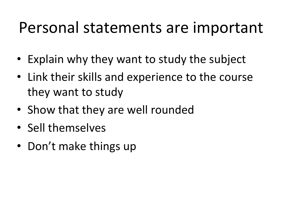#### Personal statements are important

- Explain why they want to study the subject
- Link their skills and experience to the course they want to study
- Show that they are well rounded
- Sell themselves
- Don't make things up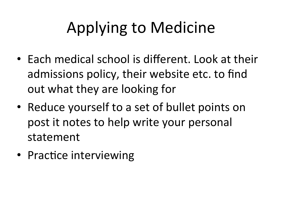# Applying to Medicine

- Each medical school is different. Look at their admissions policy, their website etc. to find out what they are looking for
- Reduce yourself to a set of bullet points on post it notes to help write your personal statement
- Practice interviewing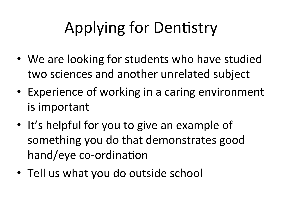# Applying for Dentistry

- We are looking for students who have studied two sciences and another unrelated subject
- Experience of working in a caring environment is important
- It's helpful for you to give an example of something you do that demonstrates good hand/eye co-ordination
- Tell us what you do outside school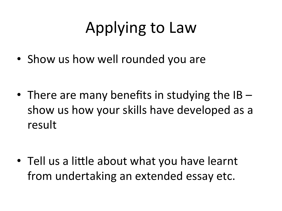### Applying to Law

• Show us how well rounded you are

• There are many benefits in studying the  $IB$  – show us how your skills have developed as a result 

• Tell us a little about what you have learnt from undertaking an extended essay etc.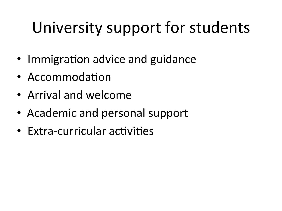### University support for students

- Immigration advice and guidance
- Accommodation
- Arrival and welcome
- Academic and personal support
- $\bullet$  Extra-curricular activities